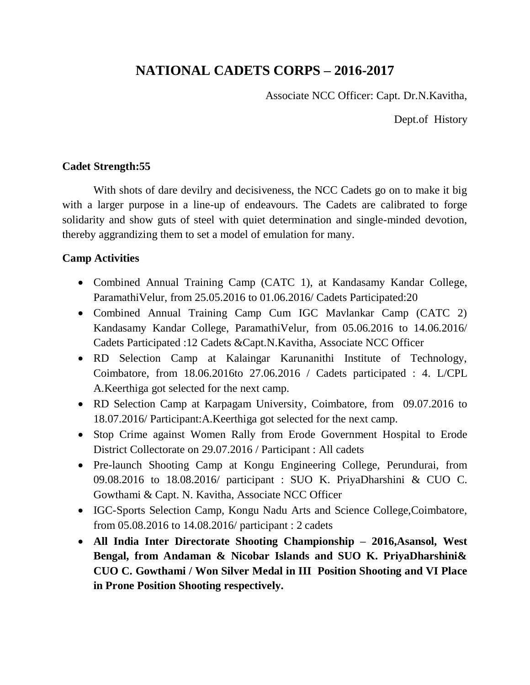# **NATIONAL CADETS CORPS – 2016-2017**

Associate NCC Officer: Capt. Dr.N.Kavitha,

Dept.of History

#### **Cadet Strength:55**

With shots of dare devilry and decisiveness, the NCC Cadets go on to make it big with a larger purpose in a line-up of endeavours. The Cadets are calibrated to forge solidarity and show guts of steel with quiet determination and single-minded devotion, thereby aggrandizing them to set a model of emulation for many.

#### **Camp Activities**

- Combined Annual Training Camp (CATC 1), at Kandasamy Kandar College, ParamathiVelur, from 25.05.2016 to 01.06.2016/ Cadets Participated:20
- Combined Annual Training Camp Cum IGC Mavlankar Camp (CATC 2) Kandasamy Kandar College, ParamathiVelur, from 05.06.2016 to 14.06.2016/ Cadets Participated :12 Cadets &Capt.N.Kavitha, Associate NCC Officer
- RD Selection Camp at Kalaingar Karunanithi Institute of Technology, Coimbatore, from 18.06.2016to 27.06.2016 / Cadets participated : 4. L/CPL A.Keerthiga got selected for the next camp.
- RD Selection Camp at Karpagam University, Coimbatore, from 09.07.2016 to 18.07.2016/ Participant:A.Keerthiga got selected for the next camp.
- Stop Crime against Women Rally from Erode Government Hospital to Erode District Collectorate on 29.07.2016 / Participant : All cadets
- Pre-launch Shooting Camp at Kongu Engineering College, Perundurai, from 09.08.2016 to 18.08.2016/ participant : SUO K. PriyaDharshini & CUO C. Gowthami & Capt. N. Kavitha, Associate NCC Officer
- IGC-Sports Selection Camp, Kongu Nadu Arts and Science College,Coimbatore, from 05.08.2016 to 14.08.2016/ participant : 2 cadets
- **All India Inter Directorate Shooting Championship – 2016,Asansol, West Bengal, from Andaman & Nicobar Islands and SUO K. PriyaDharshini& CUO C. Gowthami / Won Silver Medal in III Position Shooting and VI Place in Prone Position Shooting respectively.**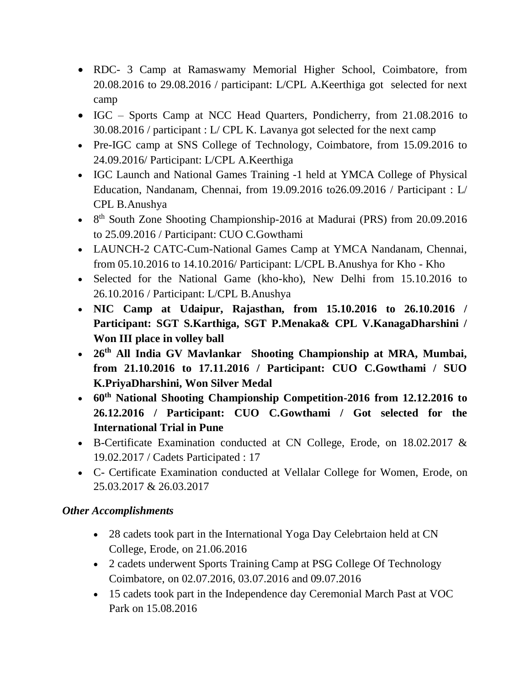- RDC- 3 Camp at Ramaswamy Memorial Higher School, Coimbatore, from 20.08.2016 to 29.08.2016 / participant: L/CPL A.Keerthiga got selected for next camp
- IGC Sports Camp at NCC Head Ouarters, Pondicherry, from 21.08.2016 to 30.08.2016 / participant : L/ CPL K. Lavanya got selected for the next camp
- Pre-IGC camp at SNS College of Technology, Coimbatore, from 15.09.2016 to 24.09.2016/ Participant: L/CPL A.Keerthiga
- IGC Launch and National Games Training -1 held at YMCA College of Physical Education, Nandanam, Chennai, from 19.09.2016 to26.09.2016 / Participant : L/ CPL B.Anushya
- 8<sup>th</sup> South Zone Shooting Championship-2016 at Madurai (PRS) from 20.09.2016 to 25.09.2016 / Participant: CUO C.Gowthami
- LAUNCH-2 CATC-Cum-National Games Camp at YMCA Nandanam, Chennai, from 05.10.2016 to 14.10.2016/ Participant: L/CPL B.Anushya for Kho - Kho
- Selected for the National Game (kho-kho), New Delhi from 15.10.2016 to 26.10.2016 / Participant: L/CPL B.Anushya
- **NIC Camp at Udaipur, Rajasthan, from 15.10.2016 to 26.10.2016 / Participant: SGT S.Karthiga, SGT P.Menaka& CPL V.KanagaDharshini / Won III place in volley ball**
- **26th All India GV Mavlankar Shooting Championship at MRA, Mumbai, from 21.10.2016 to 17.11.2016 / Participant: CUO C.Gowthami / SUO K.PriyaDharshini, Won Silver Medal**
- **60th National Shooting Championship Competition-2016 from 12.12.2016 to 26.12.2016 / Participant: CUO C.Gowthami / Got selected for the International Trial in Pune**
- B-Certificate Examination conducted at CN College, Erode, on 18.02.2017 & 19.02.2017 / Cadets Participated : 17
- C- Certificate Examination conducted at Vellalar College for Women, Erode, on 25.03.2017 & 26.03.2017

## *Other Accomplishments*

- 28 cadets took part in the International Yoga Day Celebrtaion held at CN College, Erode, on 21.06.2016
- 2 cadets underwent Sports Training Camp at PSG College Of Technology Coimbatore, on 02.07.2016, 03.07.2016 and 09.07.2016
- 15 cadets took part in the Independence day Ceremonial March Past at VOC Park on 15.08.2016